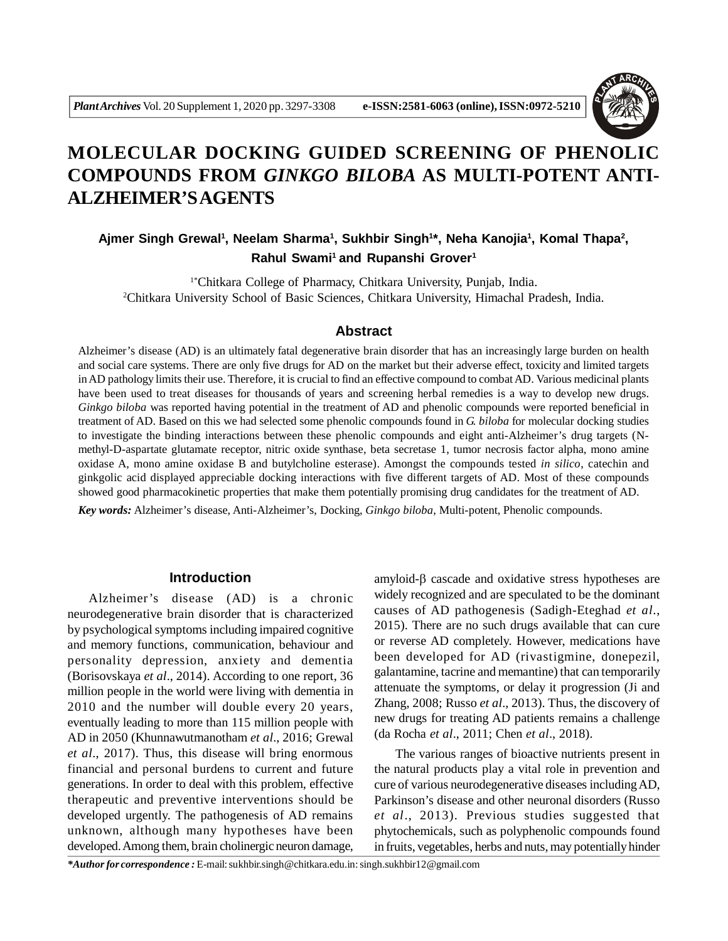

# **MOLECULAR DOCKING GUIDED SCREENING OF PHENOLIC COMPOUNDS FROM** *GINKGO BILOBA* **AS MULTI-POTENT ANTI-ALZHEIMER'S AGENTS**

# Ajmer Singh Grewal<sup>1</sup>, Neelam Sharma<sup>1</sup>, Sukhbir Singh<sup>1\*</sup>, Neha Kanojia<sup>1</sup>, Komal Thapa<sup>2</sup>, **Rahul Swami<sup>1</sup>and Rupanshi Grover<sup>1</sup>**

1\*Chitkara College of Pharmacy, Chitkara University, Punjab, India. <sup>2</sup>Chitkara University School of Basic Sciences, Chitkara University, Himachal Pradesh, India.

#### **Abstract**

Alzheimer's disease (AD) is an ultimately fatal degenerative brain disorder that has an increasingly large burden on health and social care systems. There are only five drugs for AD on the market but their adverse effect, toxicity and limited targets in AD pathology limits their use. Therefore, it is crucial to find an effective compound to combat AD. Various medicinal plants have been used to treat diseases for thousands of years and screening herbal remedies is a way to develop new drugs. *Ginkgo biloba* was reported having potential in the treatment of AD and phenolic compounds were reported beneficial in treatment of AD. Based on this we had selected some phenolic compounds found in *G. biloba* for molecular docking studies to investigate the binding interactions between these phenolic compounds and eight anti-Alzheimer's drug targets (Nmethyl-D-aspartate glutamate receptor, nitric oxide synthase, beta secretase 1, tumor necrosis factor alpha, mono amine oxidase A, mono amine oxidase B and butylcholine esterase). Amongst the compounds tested *in silico*, catechin and ginkgolic acid displayed appreciable docking interactions with five different targets of AD. Most of these compounds showed good pharmacokinetic properties that make them potentially promising drug candidates for the treatment of AD.

*Key words:* Alzheimer's disease, Anti-Alzheimer's, Docking, *Ginkgo biloba*, Multi-potent, Phenolic compounds.

#### **Introduction**

Alzheimer's disease (AD) is a chronic neurodegenerative brain disorder that is characterized by psychological symptoms including impaired cognitive and memory functions, communication, behaviour and personality depression, anxiety and dementia (Borisovskaya *et al*., 2014). According to one report, 36 million people in the world were living with dementia in 2010 and the number will double every 20 years, eventually leading to more than 115 million people with AD in 2050 (Khunnawutmanotham *et al*., 2016; Grewal *et al*., 2017). Thus, this disease will bring enormous financial and personal burdens to current and future generations. In order to deal with this problem, effective therapeutic and preventive interventions should be developed urgently. The pathogenesis of AD remains unknown, although many hypotheses have been developed. Among them, brain cholinergic neuron damage,

amyloid- $\beta$  cascade and oxidative stress hypotheses are widely recognized and are speculated to be the dominant causes of AD pathogenesis (Sadigh-Eteghad *et al*., 2015). There are no such drugs available that can cure or reverse AD completely. However, medications have been developed for AD (rivastigmine, donepezil, galantamine, tacrine and memantine) that can temporarily attenuate the symptoms, or delay it progression (Ji and Zhang, 2008; Russo *et al*., 2013). Thus, the discovery of new drugs for treating AD patients remains a challenge (da Rocha *et al*., 2011; Chen *et al*., 2018).

The various ranges of bioactive nutrients present in the natural products play a vital role in prevention and cure of various neurodegenerative diseases including AD, Parkinson's disease and other neuronal disorders (Russo *et al*., 2013). Previous studies suggested that phytochemicals, such as polyphenolic compounds found in fruits, vegetables, herbs and nuts, may potentially hinder

*\*Author for correspondence :* E-mail: sukhbir.singh@chitkara.edu.in: singh.sukhbir12@gmail.com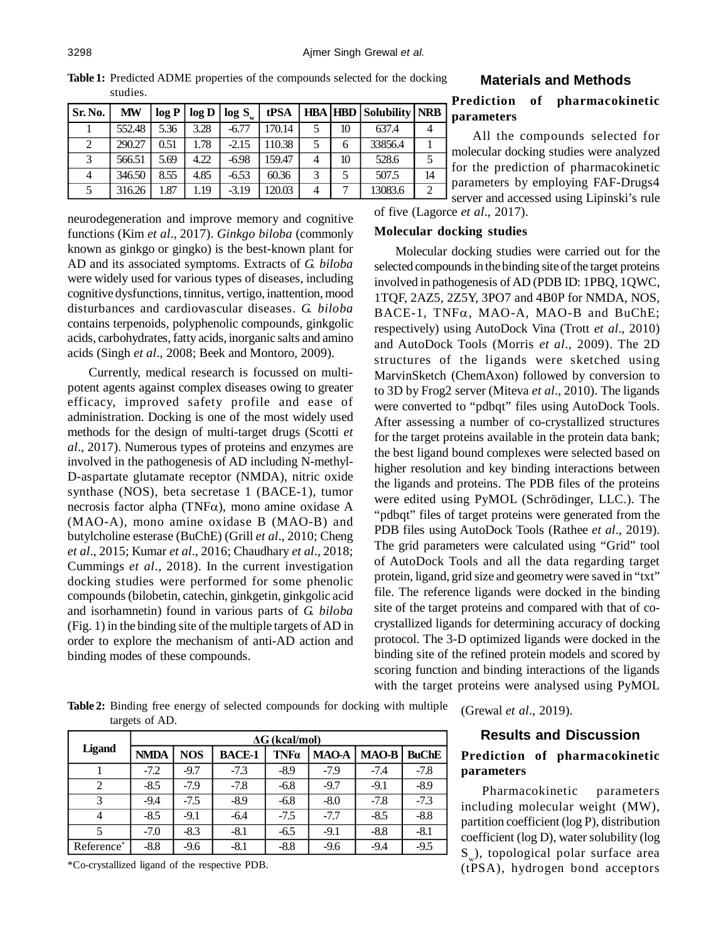**Table 1:** Predicted ADME properties of the compounds selected for the docking studies.

| Sr. No. | MW     |      | log P   log D | log S   | tPSA   |                |    | <b>HBA HBD Solubility NRB</b> |               |
|---------|--------|------|---------------|---------|--------|----------------|----|-------------------------------|---------------|
|         | 552.48 | 5.36 | 3.28          | $-6.77$ | 170.14 |                | 10 | 637.4                         |               |
|         | 290.27 | 0.51 | 1.78          | $-2.15$ | 110.38 |                | 6  | 33856.4                       |               |
|         | 566.51 | 5.69 | 4.22          | $-6.98$ | 159.47 | 4              | 10 | 528.6                         |               |
|         | 346.50 | 8.55 | 4.85          | $-6.53$ | 60.36  | 3              |    | 507.5                         | 14            |
|         | 316.26 | 1.87 | 1.19          | $-3.19$ | 120.03 | $\overline{4}$ |    | 13083.6                       | $\mathcal{D}$ |

#### **Materials and Methods**

# **Prediction of pharmacokinetic parameters**

All the compounds selected for molecular docking studies were analyzed for the prediction of pharmacokinetic parameters by employing FAF-Drugs4 server and accessed using Lipinski's rule

neurodegeneration and improve memory and cognitive functions (Kim *et al*., 2017). *Ginkgo biloba* (commonly known as ginkgo or gingko) is the best-known plant for AD and its associated symptoms. Extracts of *G. biloba* were widely used for various types of diseases, including cognitive dysfunctions, tinnitus, vertigo, inattention, mood disturbances and cardiovascular diseases. *G. biloba* contains terpenoids, polyphenolic compounds, ginkgolic acids, carbohydrates, fatty acids, inorganic salts and amino acids (Singh *et al*., 2008; Beek and Montoro, 2009).

Currently, medical research is focussed on multipotent agents against complex diseases owing to greater efficacy, improved safety profile and ease of administration. Docking is one of the most widely used methods for the design of multi-target drugs (Scotti *et al*., 2017). Numerous types of proteins and enzymes are involved in the pathogenesis of AD including N-methyl-D-aspartate glutamate receptor (NMDA), nitric oxide synthase (NOS), beta secretase 1 (BACE-1), tumor necrosis factor alpha (TNF $\alpha$ ), mono amine oxidase A (MAO-A), mono amine oxidase B (MAO-B) and butylcholine esterase (BuChE) (Grill *et al*., 2010; Cheng *et al*., 2015; Kumar *et al*., 2016; Chaudhary *et al*., 2018; Cummings *et al*., 2018). In the current investigation docking studies were performed for some phenolic compounds (bilobetin, catechin, ginkgetin, ginkgolic acid and isorhamnetin) found in various parts of *G. biloba* (Fig. 1) in the binding site of the multiple targets of AD in order to explore the mechanism of anti-AD action and binding modes of these compounds.

of five (Lagorce *et al*., 2017).

#### **Molecular docking studies**

Molecular docking studies were carried out for the selected compounds in the binding site of the target proteins involved in pathogenesis of AD (PDB ID: 1PBQ, 1QWC, 1TQF, 2AZ5, 2Z5Y, 3PO7 and 4B0P for NMDA, NOS, BACE-1,  $TNF\alpha$ , MAO-A, MAO-B and BuChE; respectively) using AutoDock Vina (Trott *et al*., 2010) and AutoDock Tools (Morris *et al*., 2009). The 2D structures of the ligands were sketched using MarvinSketch (ChemAxon) followed by conversion to to 3D by Frog2 server (Miteva *et al*., 2010). The ligands were converted to "pdbqt" files using AutoDock Tools. After assessing a number of co-crystallized structures for the target proteins available in the protein data bank; the best ligand bound complexes were selected based on higher resolution and key binding interactions between the ligands and proteins. The PDB files of the proteins were edited using PyMOL (Schrödinger, LLC.). The "pdbqt" files of target proteins were generated from the PDB files using AutoDock Tools (Rathee *et al*., 2019). The grid parameters were calculated using "Grid" tool of AutoDock Tools and all the data regarding target protein, ligand, grid size and geometry were saved in "txt" file. The reference ligands were docked in the binding site of the target proteins and compared with that of cocrystallized ligands for determining accuracy of docking protocol. The 3-D optimized ligands were docked in the binding site of the refined protein models and scored by scoring function and binding interactions of the ligands with the target proteins were analysed using PyMOL

**Table 2:** Binding free energy of selected compounds for docking with multiple targets of AD.

|               | $\Delta G$ (kcal/mol) |            |               |             |              |              |              |
|---------------|-----------------------|------------|---------------|-------------|--------------|--------------|--------------|
| <b>Ligand</b> | <b>NMDA</b>           | <b>NOS</b> | <b>BACE-1</b> | <b>TNFa</b> | <b>MAO-A</b> | <b>MAO-B</b> | <b>BuChE</b> |
|               | $-7.2$                | $-9.7$     | $-7.3$        | $-8.9$      | $-7.9$       | $-7.4$       | $-7.8$       |
| 2             | $-8.5$                | $-7.9$     | $-7.8$        | $-6.8$      | $-9.7$       | $-9.1$       | $-8.9$       |
| 3             | $-9.4$                | $-7.5$     | $-8.9$        | $-6.8$      | $-8.0$       | $-7.8$       | $-7.3$       |
| 4             | $-8.5$                | $-9.1$     | $-6.4$        | $-7.5$      | $-7.7$       | $-8.5$       | $-8.8$       |
| 5             | $-7.0$                | $-8.3$     | $-8.1$        | $-6.5$      | $-9.1$       | $-8.8$       | $-8.1$       |
| Reference*    | $-8.8$                | $-9.6$     | $-8.1$        | $-8.8$      | $-9.6$       | $-9.4$       | $-9.5$       |

\*Co-crystallized ligand of the respective PDB.

(Grewal *et al*., 2019).

#### **Results and Discussion**

# **Prediction of pharmacokinetic parameters**

Pharmacokinetic parameters including molecular weight (MW), partition coefficient (log P), distribution coefficient (log D), water solubility (log  $\mathbf{S}_{_{\mathrm{w}}})$ , topological polar surface area (tPSA), hydrogen bond acceptors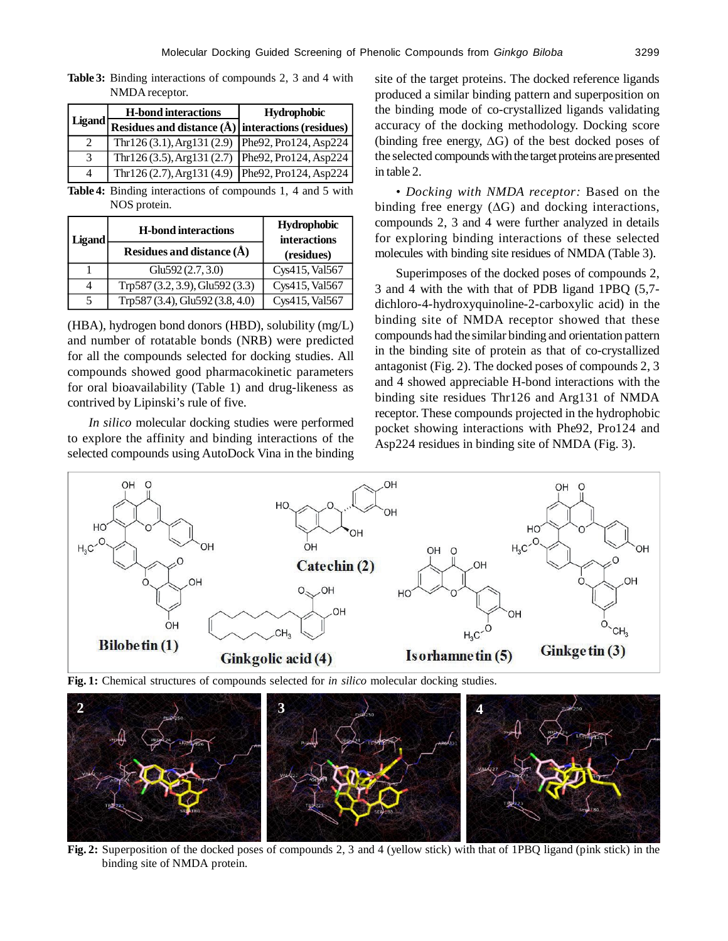**Table 3:** Binding interactions of compounds 2, 3 and 4 with NMDA receptor.

|        | <b>H-bond interactions</b>                                | Hydrophobic |
|--------|-----------------------------------------------------------|-------------|
| Ligand | Residues and distance $(\hat{A})$ interactions (residues) |             |
|        | Thr126(3.1), Arg131(2.9) Phe92, Pro124, Asp224            |             |
| 3      | Thr126 (3.5), Arg131 (2.7) Phe92, Pro124, Asp224          |             |
|        | Thr126 (2.7), Arg131 (4.9) Phe92, Pro124, Asp224          |             |

**Table 4:** Binding interactions of compounds 1, 4 and 5 with NOS protein.

| Ligand | <b>H-bond interactions</b>      | <b>Hydrophobic</b><br><b>interactions</b> |  |
|--------|---------------------------------|-------------------------------------------|--|
|        | Residues and distance $(\AA)$   | (residues)                                |  |
|        | Glu592 $(2.7, 3.0)$             | Cys415, Val567                            |  |
|        | Trp587 (3.2, 3.9), Glu592 (3.3) | Cys415, Val567                            |  |
| 5      | Trp587 (3.4), Glu592 (3.8, 4.0) | Cys415, Val567                            |  |

(HBA), hydrogen bond donors (HBD), solubility (mg/L) and number of rotatable bonds (NRB) were predicted for all the compounds selected for docking studies. All compounds showed good pharmacokinetic parameters for oral bioavailability (Table 1) and drug-likeness as contrived by Lipinski's rule of five.

*In silico* molecular docking studies were performed to explore the affinity and binding interactions of the selected compounds using AutoDock Vina in the binding site of the target proteins. The docked reference ligands produced a similar binding pattern and superposition on the binding mode of co-crystallized ligands validating accuracy of the docking methodology. Docking score (binding free energy,  $\Delta G$ ) of the best docked poses of the selected compounds with the target proteins are presented in table 2.

*• Docking with NMDA receptor:* Based on the binding free energy  $(\Delta G)$  and docking interactions, compounds 2, 3 and 4 were further analyzed in details for exploring binding interactions of these selected molecules with binding site residues of NMDA (Table 3).

Superimposes of the docked poses of compounds 2, 3 and 4 with the with that of PDB ligand 1PBQ (5,7 dichloro-4-hydroxyquinoline-2-carboxylic acid) in the binding site of NMDA receptor showed that these compounds had the similar binding and orientation pattern in the binding site of protein as that of co-crystallized antagonist (Fig. 2). The docked poses of compounds 2, 3 and 4 showed appreciable H-bond interactions with the binding site residues Thr126 and Arg131 of NMDA receptor. These compounds projected in the hydrophobic pocket showing interactions with Phe92, Pro124 and Asp224 residues in binding site of NMDA (Fig. 3).



**Fig. 1:** Chemical structures of compounds selected for *in silico* molecular docking studies.



**Fig. 2:** Superposition of the docked poses of compounds 2, 3 and 4 (yellow stick) with that of 1PBQ ligand (pink stick) in the binding site of NMDA protein.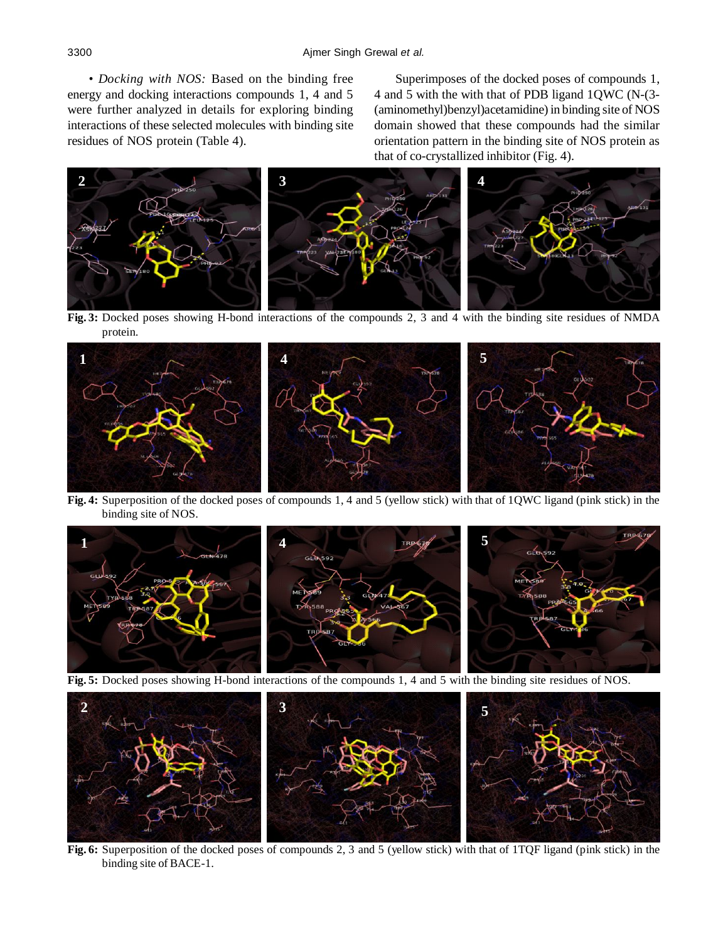*• Docking with NOS:* Based on the binding free energy and docking interactions compounds 1, 4 and 5 were further analyzed in details for exploring binding interactions of these selected molecules with binding site residues of NOS protein (Table 4).

Superimposes of the docked poses of compounds 1, 4 and 5 with the with that of PDB ligand 1QWC (N-(3- (aminomethyl)benzyl)acetamidine) in binding site of NOS domain showed that these compounds had the similar orientation pattern in the binding site of NOS protein as that of co-crystallized inhibitor (Fig. 4).



**Fig. 3:** Docked poses showing H-bond interactions of the compounds 2, 3 and 4 with the binding site residues of NMDA protein.



**Fig. 4:** Superposition of the docked poses of compounds 1, 4 and 5 (yellow stick) with that of 1QWC ligand (pink stick) in the binding site of NOS.



**Fig. 5:** Docked poses showing H-bond interactions of the compounds 1, 4 and 5 with the binding site residues of NOS.



**Fig. 6:** Superposition of the docked poses of compounds 2, 3 and 5 (yellow stick) with that of 1TQF ligand (pink stick) in the binding site of BACE-1.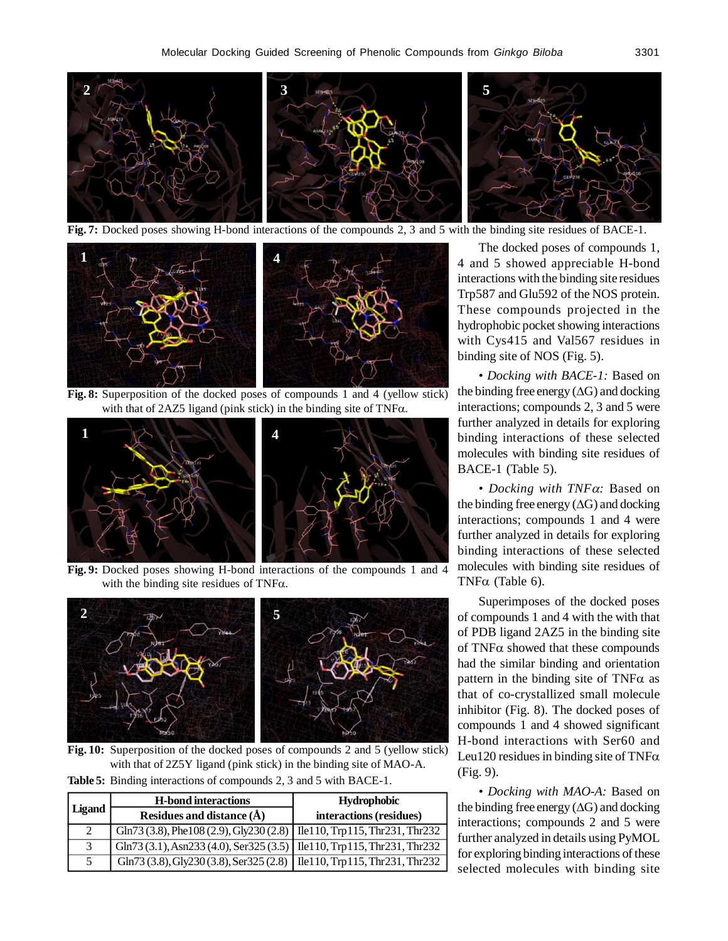

**Fig. 7:** Docked poses showing H-bond interactions of the compounds 2, 3 and 5 with the binding site residues of BACE-1.



**Fig. 8:** Superposition of the docked poses of compounds 1 and 4 (yellow stick) with that of  $2AZ5$  ligand (pink stick) in the binding site of TNF $\alpha$ .



**Fig. 9:** Docked poses showing H-bond interactions of the compounds 1 and 4 with the binding site residues of TNF $\alpha$ .



**Fig. 10:** Superposition of the docked poses of compounds 2 and 5 (yellow stick) with that of 2Z5Y ligand (pink stick) in the binding site of MAO-A.

**Table 5:** Binding interactions of compounds 2, 3 and 5 with BACE-1.

|        | <b>H</b> -bond interactions                                                                | <b>Hydrophobic</b>      |
|--------|--------------------------------------------------------------------------------------------|-------------------------|
| Ligand | Residues and distance $(\AA)$                                                              | interactions (residues) |
| 2      | Gln73 (3.8), Phe108 (2.9), Gly230 (2.8)   Ile110, Trp115, Thr231, Thr232                   |                         |
| 3      | $\text{Gln}73(3.1), \text{Asn}233(4.0), \text{Ser}325(3.5)$ Ile110, Trp115, Thr231, Thr232 |                         |
|        | Gln73 (3.8), Gly230 (3.8), Ser325 (2.8)   Ile110, Trp115, Thr231, Thr232                   |                         |

The docked poses of compounds 1, 4 and 5 showed appreciable H-bond interactions with the binding site residues Trp587 and Glu592 of the NOS protein. These compounds projected in the hydrophobic pocket showing interactions with Cys415 and Val567 residues in binding site of NOS (Fig. 5).

*• Docking with BACE-1:* Based on the binding free energy  $(\Delta G)$  and docking interactions; compounds 2, 3 and 5 were further analyzed in details for exploring binding interactions of these selected molecules with binding site residues of BACE-1 (Table 5).

• Docking with TNF $\alpha$ : Based on the binding free energy  $(\Delta G)$  and docking interactions; compounds 1 and 4 were further analyzed in details for exploring binding interactions of these selected molecules with binding site residues of TNF $\alpha$  (Table 6).

Superimposes of the docked poses of compounds 1 and 4 with the with that of PDB ligand 2AZ5 in the binding site of  $TNF\alpha$  showed that these compounds had the similar binding and orientation pattern in the binding site of TNF $\alpha$  as that of co-crystallized small molecule inhibitor (Fig. 8). The docked poses of compounds 1 and 4 showed significant H-bond interactions with Ser60 and Leu120 residues in binding site of TNF $\alpha$ (Fig. 9).

*• Docking with MAO-A:* Based on the binding free energy  $(\Delta G)$  and docking interactions; compounds 2 and 5 were further analyzed in details using PyMOL for exploring binding interactions of these selected molecules with binding site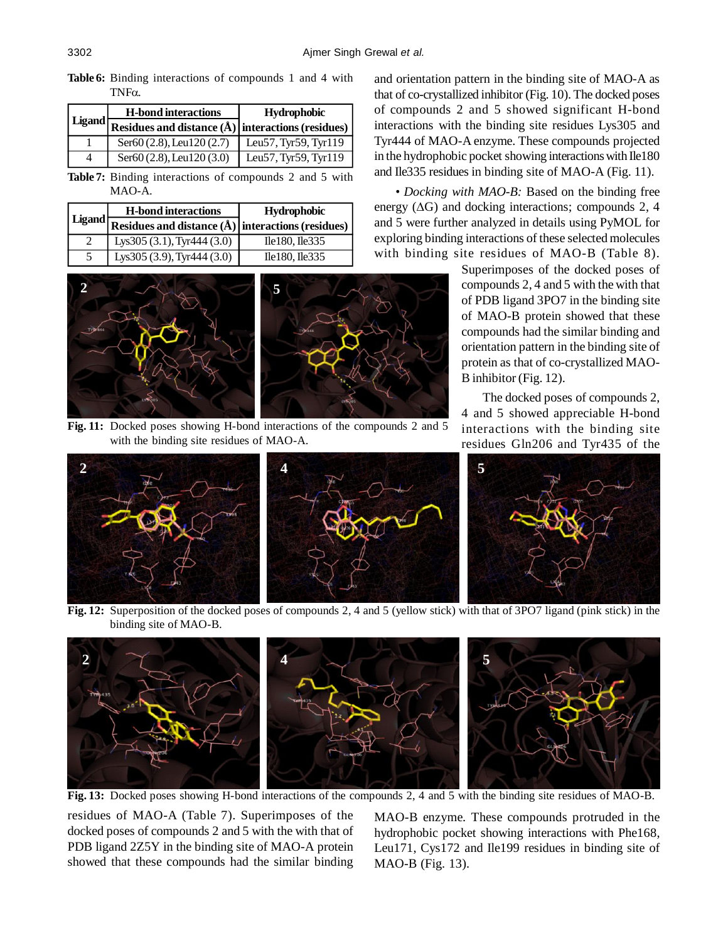**Table 6:** Binding interactions of compounds 1 and 4 with  $TNF\alpha$ .

|               | <b>H</b> -bond interactions                               | <b>Hydrophobic</b>   |  |
|---------------|-----------------------------------------------------------|----------------------|--|
| <b>Ligand</b> | Residues and distance $(\hat{A})$ interactions (residues) |                      |  |
|               | Ser60 $(2.8)$ , Leu120 $(2.7)$                            | Leu57, Tyr59, Tyr119 |  |
| 4             | Ser60 (2.8), Leu120 (3.0)                                 | Leu57, Tyr59, Tyr119 |  |

**Table 7:** Binding interactions of compounds 2 and 5 with MAO-A.

|        | <b>H-bond interactions</b>                                | <b>Hydrophobic</b>  |
|--------|-----------------------------------------------------------|---------------------|
| Ligand | Residues and distance $(\hat{A})$ interactions (residues) |                     |
|        | Lys $305(3.1)$ , Tyr $444(3.0)$                           | $Ile180$ , $Ile335$ |
|        | Lys $305(3.9)$ , Tyr $444(3.0)$                           | $Ile180$ , $Ile335$ |



**Fig. 11:** Docked poses showing H-bond interactions of the compounds 2 and 5 with the binding site residues of MAO-A.

and orientation pattern in the binding site of MAO-A as that of co-crystallized inhibitor (Fig. 10). The docked poses of compounds 2 and 5 showed significant H-bond interactions with the binding site residues Lys305 and Tyr444 of MAO-A enzyme. These compounds projected in the hydrophobic pocket showing interactions with Ile180 and Ile335 residues in binding site of MAO-A (Fig. 11).

*• Docking with MAO-B:* Based on the binding free energy  $(\Delta G)$  and docking interactions; compounds 2, 4 and 5 were further analyzed in details using PyMOL for exploring binding interactions of these selected molecules with binding site residues of MAO-B (Table 8).

> Superimposes of the docked poses of compounds 2, 4 and 5 with the with that of PDB ligand 3PO7 in the binding site of MAO-B protein showed that these compounds had the similar binding and orientation pattern in the binding site of protein as that of co-crystallized MAO-B inhibitor (Fig. 12).

> The docked poses of compounds 2, 4 and 5 showed appreciable H-bond interactions with the binding site residues Gln206 and Tyr435 of the



**Fig. 12:** Superposition of the docked poses of compounds 2, 4 and 5 (yellow stick) with that of 3PO7 ligand (pink stick) in the binding site of MAO-B.



**Fig. 13:** Docked poses showing H-bond interactions of the compounds 2, 4 and 5 with the binding site residues of MAO-B.

residues of MAO-A (Table 7). Superimposes of the docked poses of compounds 2 and 5 with the with that of PDB ligand 2Z5Y in the binding site of MAO-A protein showed that these compounds had the similar binding

MAO-B enzyme. These compounds protruded in the hydrophobic pocket showing interactions with Phe168, Leu171, Cys172 and Ile199 residues in binding site of MAO-B (Fig. 13).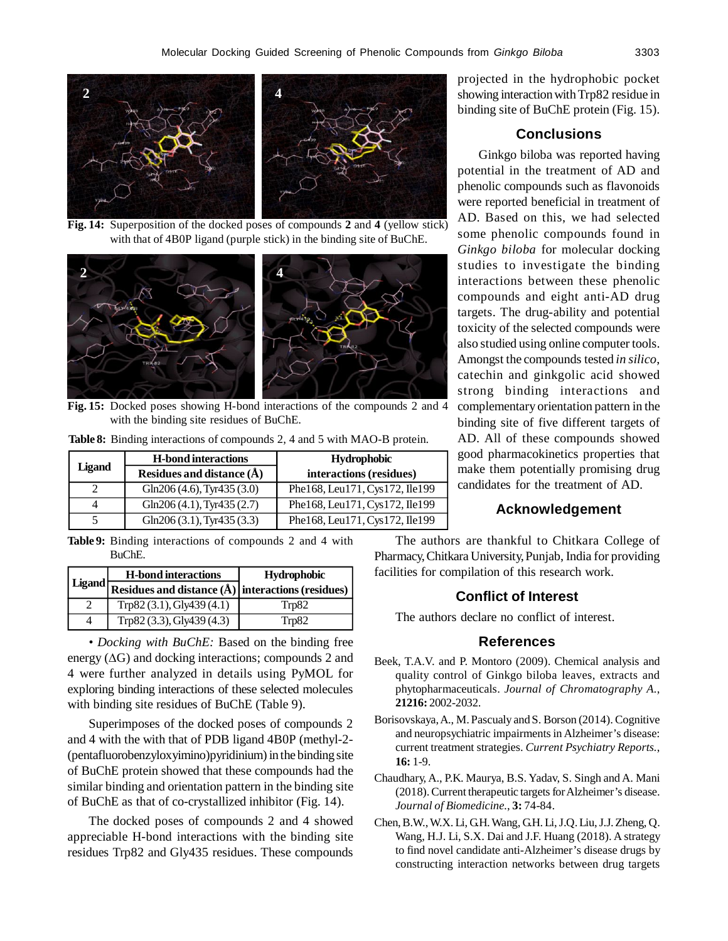

**Fig. 14:** Superposition of the docked poses of compounds **2** and **4** (yellow stick) with that of 4B0P ligand (purple stick) in the binding site of BuChE.



**Fig. 15:** Docked poses showing H-bond interactions of the compounds 2 and 4 with the binding site residues of BuChE.

|               | <b>H</b> -bond interactions     | <b>Hydrophobic</b>             |
|---------------|---------------------------------|--------------------------------|
| <b>Ligand</b> | Residues and distance $(\AA)$   | interactions (residues)        |
|               | Gln206 $(4.6)$ , Tyr435 $(3.0)$ | Phe168, Leu171, Cys172, Ile199 |
|               | Gln206 $(4.1)$ , Tyr435 $(2.7)$ | Phe168, Leu171, Cys172, Ile199 |
|               | Gln206 $(3.1)$ , Tyr435 $(3.3)$ | Phe168, Leu171, Cys172, Ile199 |

**Table 8:** Binding interactions of compounds 2, 4 and 5 with MAO-B protein.

**Table 9:** Binding interactions of compounds 2 and 4 with BuChE.

|          | <b>H</b> -bond interactions                         | <b>Hydrophobic</b> |  |
|----------|-----------------------------------------------------|--------------------|--|
| Ligand † | Residues and distance (Å)   interactions (residues) |                    |  |
|          | Trp82(3.1), Gly439(4.1)                             | Trp82              |  |
|          | Trp82 (3.3), Gly439 (4.3)                           | Trp82              |  |

*• Docking with BuChE:* Based on the binding free energy  $(\Delta G)$  and docking interactions; compounds 2 and 4 were further analyzed in details using PyMOL for exploring binding interactions of these selected molecules with binding site residues of BuChE (Table 9).

Superimposes of the docked poses of compounds 2 and 4 with the with that of PDB ligand 4B0P (methyl-2- (pentafluorobenzyloxyimino)pyridinium) in the binding site of BuChE protein showed that these compounds had the similar binding and orientation pattern in the binding site of BuChE as that of co-crystallized inhibitor (Fig. 14).

The docked poses of compounds 2 and 4 showed appreciable H-bond interactions with the binding site residues Trp82 and Gly435 residues. These compounds projected in the hydrophobic pocket showing interaction with Trp82 residue in binding site of BuChE protein (Fig. 15).

# **Conclusions**

Ginkgo biloba was reported having potential in the treatment of AD and phenolic compounds such as flavonoids were reported beneficial in treatment of AD. Based on this, we had selected some phenolic compounds found in *Ginkgo biloba* for molecular docking studies to investigate the binding interactions between these phenolic compounds and eight anti-AD drug targets. The drug-ability and potential toxicity of the selected compounds were also studied using online computer tools. Amongst the compounds tested *in silico*, catechin and ginkgolic acid showed strong binding interactions and complementary orientation pattern in the binding site of five different targets of AD. All of these compounds showed good pharmacokinetics properties that make them potentially promising drug candidates for the treatment of AD.

# **Acknowledgement**

The authors are thankful to Chitkara College of Pharmacy, Chitkara University, Punjab, India for providing facilities for compilation of this research work.

# **Conflict of Interest**

The authors declare no conflict of interest.

# **References**

- Beek, T.A.V. and P. Montoro (2009). Chemical analysis and quality control of Ginkgo biloba leaves, extracts and phytopharmaceuticals. *Journal of Chromatography A.*, **21216:** 2002-2032.
- Borisovskaya, A., M. Pascualy and S. Borson (2014). Cognitive and neuropsychiatric impairments in Alzheimer's disease: current treatment strategies. *Current Psychiatry Reports.*, **16:** 1-9.
- Chaudhary, A., P.K. Maurya, B.S. Yadav, S. Singh and A. Mani (2018). Current therapeutic targets for Alzheimer's disease. *Journal of Biomedicine.*, **3:** 74-84.
- Chen, B.W., W.X. Li, GH. Wang, G.H. Li, J.Q. Liu, J.J. Zheng, Q. Wang, H.J. Li, S.X. Dai and J.F. Huang (2018). A strategy to find novel candidate anti-Alzheimer's disease drugs by constructing interaction networks between drug targets